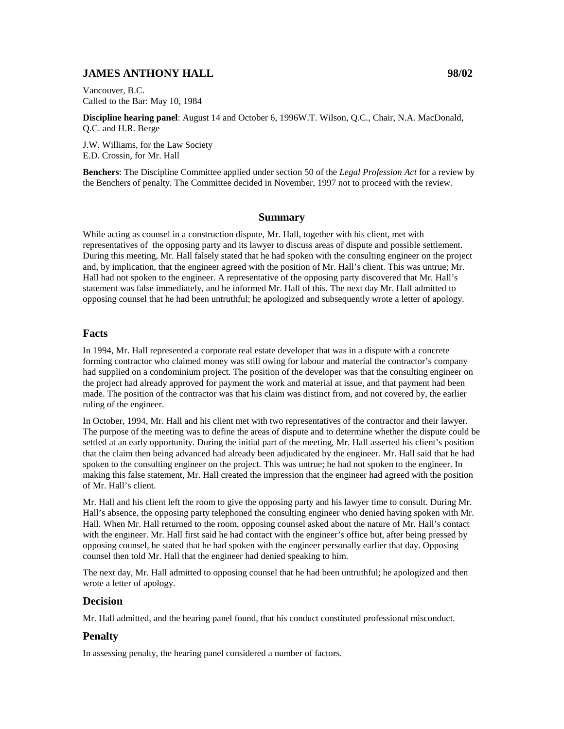# **JAMES ANTHONY HALL 98/02**

Vancouver, B.C. Called to the Bar: May 10, 1984

**Discipline hearing panel**: August 14 and October 6, 1996W.T. Wilson, Q.C., Chair, N.A. MacDonald, Q.C. and H.R. Berge

J.W. Williams, for the Law Society E.D. Crossin, for Mr. Hall

**Benchers**: The Discipline Committee applied under section 50 of the *Legal Profession Act* for a review by the Benchers of penalty. The Committee decided in November, 1997 not to proceed with the review.

## **Summary**

While acting as counsel in a construction dispute, Mr. Hall, together with his client, met with representatives of the opposing party and its lawyer to discuss areas of dispute and possible settlement. During this meeting, Mr. Hall falsely stated that he had spoken with the consulting engineer on the project and, by implication, that the engineer agreed with the position of Mr. Hall's client. This was untrue; Mr. Hall had not spoken to the engineer. A representative of the opposing party discovered that Mr. Hall's statement was false immediately, and he informed Mr. Hall of this. The next day Mr. Hall admitted to opposing counsel that he had been untruthful; he apologized and subsequently wrote a letter of apology.

### **Facts**

In 1994, Mr. Hall represented a corporate real estate developer that was in a dispute with a concrete forming contractor who claimed money was still owing for labour and material the contractor's company had supplied on a condominium project. The position of the developer was that the consulting engineer on the project had already approved for payment the work and material at issue, and that payment had been made. The position of the contractor was that his claim was distinct from, and not covered by, the earlier ruling of the engineer.

In October, 1994, Mr. Hall and his client met with two representatives of the contractor and their lawyer. The purpose of the meeting was to define the areas of dispute and to determine whether the dispute could be settled at an early opportunity. During the initial part of the meeting, Mr. Hall asserted his client's position that the claim then being advanced had already been adjudicated by the engineer. Mr. Hall said that he had spoken to the consulting engineer on the project. This was untrue; he had not spoken to the engineer. In making this false statement, Mr. Hall created the impression that the engineer had agreed with the position of Mr. Hall's client.

Mr. Hall and his client left the room to give the opposing party and his lawyer time to consult. During Mr. Hall's absence, the opposing party telephoned the consulting engineer who denied having spoken with Mr. Hall. When Mr. Hall returned to the room, opposing counsel asked about the nature of Mr. Hall's contact with the engineer. Mr. Hall first said he had contact with the engineer's office but, after being pressed by opposing counsel, he stated that he had spoken with the engineer personally earlier that day. Opposing counsel then told Mr. Hall that the engineer had denied speaking to him.

The next day, Mr. Hall admitted to opposing counsel that he had been untruthful; he apologized and then wrote a letter of apology.

### **Decision**

Mr. Hall admitted, and the hearing panel found, that his conduct constituted professional misconduct.

### **Penalty**

In assessing penalty, the hearing panel considered a number of factors.